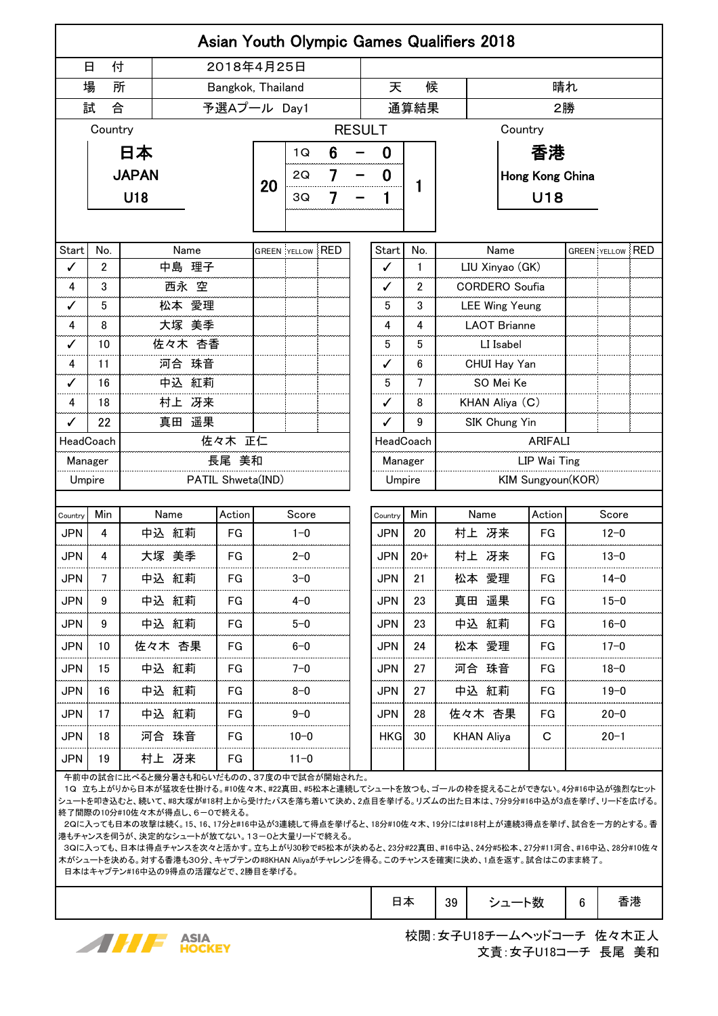| <b>Asian Youth Olympic Games Qualifiers 2018</b> |          |                                                                                                                                |                   |                   |                             |                         |            |            |                  |                   |                         |          |          |          |                         |  |  |
|--------------------------------------------------|----------|--------------------------------------------------------------------------------------------------------------------------------|-------------------|-------------------|-----------------------------|-------------------------|------------|------------|------------------|-------------------|-------------------------|----------|----------|----------|-------------------------|--|--|
|                                                  | 付<br>日   |                                                                                                                                | 2018年4月25日        |                   |                             |                         |            |            |                  |                   |                         |          |          |          |                         |  |  |
|                                                  | 場<br>所   |                                                                                                                                |                   | Bangkok, Thailand |                             |                         |            | 天<br>候     |                  |                   |                         | 晴れ       |          |          |                         |  |  |
| 試<br>合                                           |          |                                                                                                                                |                   |                   | 予選Aプール Day1                 |                         |            |            | 通算結果             |                   |                         | 2勝       |          |          |                         |  |  |
|                                                  | Country  |                                                                                                                                |                   | <b>RESULT</b>     |                             |                         |            |            |                  |                   | Country                 |          |          |          |                         |  |  |
| 日本                                               |          |                                                                                                                                |                   |                   | 6<br>1Q                     |                         |            |            |                  | 香港                |                         |          |          |          |                         |  |  |
|                                                  |          | <b>JAPAN</b>                                                                                                                   |                   | 7<br>2Q           |                             |                         | 0          |            | Hong Kong China  |                   |                         |          |          |          |                         |  |  |
|                                                  |          | U18                                                                                                                            | 20                | 3Q                | 7                           |                         |            |            | U18              |                   |                         |          |          |          |                         |  |  |
|                                                  |          |                                                                                                                                |                   |                   |                             |                         |            |            |                  |                   |                         |          |          |          |                         |  |  |
|                                                  |          |                                                                                                                                |                   |                   |                             |                         |            |            |                  |                   |                         |          |          |          |                         |  |  |
| Start<br>✓                                       | No.<br>2 | 中島 理子                                                                                                                          | Name              |                   |                             | <b>GREEN YELLOW RED</b> |            | Start<br>ℐ | No.<br>1         |                   | Name<br>LIU Xinyao (GK) |          |          |          | <b>GREEN YELLOW RED</b> |  |  |
| 4                                                | 3        | 西永 空                                                                                                                           |                   |                   |                             |                         |            | ✓          | 2                |                   | <b>CORDERO</b> Soufia   |          |          |          |                         |  |  |
| ✓                                                | 5        | 松本 愛理                                                                                                                          |                   |                   |                             |                         |            | 5          | 3                |                   | <b>LEE Wing Yeung</b>   |          |          |          |                         |  |  |
| 4                                                | 8        | 大塚 美季                                                                                                                          |                   |                   |                             |                         |            | 4          | 4                |                   | LAOT Brianne            |          |          |          |                         |  |  |
| ✓                                                | 10       |                                                                                                                                | 佐々木 杏香            |                   |                             |                         |            | 5          | 5                |                   | LI Isabel               |          |          |          |                         |  |  |
| 4                                                | 11       |                                                                                                                                | 河合 珠音             |                   |                             |                         |            | ✓          | 6                |                   | CHUI Hay Yan            |          |          |          |                         |  |  |
| ✓                                                | 16       |                                                                                                                                | 中込 紅莉             |                   |                             |                         |            | 5          | 7                |                   | SO Mei Ke               |          |          |          |                         |  |  |
| 4                                                | 18       |                                                                                                                                | 村上 冴来             |                   |                             |                         |            | ✓          | 8                |                   | KHAN Aliya (C)          |          |          |          |                         |  |  |
| ✓                                                | 22       |                                                                                                                                | 真田 遥果             |                   |                             |                         |            |            | 9                |                   | SIK Chung Yin           |          |          |          |                         |  |  |
| 佐々木 正仁<br>HeadCoach                              |          |                                                                                                                                |                   |                   | HeadCoach<br><b>ARIFALI</b> |                         |            |            |                  |                   |                         |          |          |          |                         |  |  |
| Manager                                          |          |                                                                                                                                | 長尾 美和             |                   |                             |                         |            | Manager    | LIP Wai Ting<br> |                   |                         |          |          |          |                         |  |  |
| Umpire                                           |          |                                                                                                                                | PATIL Shweta(IND) |                   |                             |                         |            | Umpire     |                  | KIM Sungyoun(KOR) |                         |          |          |          |                         |  |  |
| Country                                          | Min      | Name                                                                                                                           | Action            |                   | Score                       |                         |            | Country    | Min              |                   | Name                    |          | Action   |          | Score                   |  |  |
| <b>JPN</b>                                       | 4        | 中込 紅莉                                                                                                                          | FG                |                   | $1 - 0$                     |                         |            | <b>JPN</b> | 20               |                   | 村上 冴来                   |          | FG       |          | $12 - 0$                |  |  |
| <b>JPN</b>                                       | 4        | 大塚 美季                                                                                                                          | FG                |                   | $2 - 0$                     |                         |            | <b>JPN</b> | $20+$            |                   | 村上 冴来<br>FG             |          |          | $13 - 0$ |                         |  |  |
| <b>JPN</b>                                       | 7        | 中込 紅莉                                                                                                                          | FG                |                   | $3 - 0$                     |                         |            | JPN        | 21               |                   | 松本 愛理<br>FG             |          |          | $14 - 0$ |                         |  |  |
| <b>JPN</b>                                       | 9        | 中込 紅莉                                                                                                                          | FG                |                   | $4 - 0$                     |                         |            | <b>JPN</b> | 23               |                   | 真田 遥果<br>FG             |          | $15 - 0$ |          |                         |  |  |
| <b>JPN</b>                                       | 9        | 中込 紅莉                                                                                                                          | FG                |                   | $5 - 0$                     |                         |            | <b>JPN</b> | 23               |                   | 中込 紅莉<br>FG             |          | $16 - 0$ |          |                         |  |  |
| <b>JPN</b>                                       | 10       | 佐々木 杏果                                                                                                                         | FG                | $6 - 0$           |                             |                         | <b>JPN</b> | 24         |                  | 松本 愛理<br>FG       |                         | $17 - 0$ |          |          |                         |  |  |
| JPN                                              | 15       | 中込 紅莉                                                                                                                          | FG                | $7 - 0$           |                             |                         | <b>JPN</b> | 27         |                  | 河合 珠音<br>FG       |                         | $18 - 0$ |          |          |                         |  |  |
| <b>JPN</b>                                       | 16       | 中込 紅莉                                                                                                                          | FG                | $8 - 0$           |                             |                         | <b>JPN</b> | 27         |                  | 中込 紅莉<br>FG       |                         | $19 - 0$ |          |          |                         |  |  |
| <b>JPN</b>                                       | 17       | 中込 紅莉                                                                                                                          | FG                | 9-0               |                             |                         | <b>JPN</b> | 28         |                  | 佐々木 杏果<br>FG      |                         | $20 - 0$ |          |          |                         |  |  |
| <b>JPN</b>                                       | 18       | 河合 珠音                                                                                                                          | FG                | $10 - 0$          |                             |                         | <b>HKG</b> | 30         |                  | <b>KHAN Aliya</b> |                         | С        |          | $20 - 1$ |                         |  |  |
| <b>JPN</b>                                       | 19       | 村上 冴来                                                                                                                          | FG                |                   | $11 - 0$                    |                         |            |            |                  |                   |                         |          |          |          |                         |  |  |
|                                                  |          | 午前中の試合に比べると幾分暑さも和らいだものの、37度の中で試合が開始された。<br>10 立ち上がりから日本が猛攻を仕掛ける #10佐々木 #22直田 #5松木と連続Lてシュートを放つも ゴールの枠を捉えることができたい 4分#16中込が強列なヒット |                   |                   |                             |                         |            |            |                  |                   |                         |          |          |          |                         |  |  |

 1Q 立ち上がりから日本が猛攻を仕掛ける。#10佐々木、#22真田、#5松本と連続してシュートを放つも、ゴールの枠を捉えることができない。4分#16中込が強烈なヒット シュートを叩き込むと、続いて、#8大塚が#18村上から受けたパスを落ち着いて決め、2点目を挙げる。リズムの出た日本は、7分9分#16中込が3点を挙げ、リードを広げる。 終了間際の10分#10佐々木が得点し、6-0で終える。

 2Qに入っても日本の攻撃は続く。15、16、17分と#16中込が3連続して得点を挙げると、18分#10佐々木、19分には#18村上が連続3得点を挙げ、試合を一方的とする。香 港もチャンスを伺うが、決定的なシュートが放てない。13-0と大量リードで終える。

 3Qに入っても、日本は得点チャンスを次々と活かす。立ち上がり30秒で#5松本が決めると、23分#22真田、#16中込、24分#5松本、27分#11河合、#16中込、28分#10佐々 木がシュートを決める。対する香港も30分、キャプテンの#8KHAN Aliyaがチャレンジを得る。このチャンスを確実に決め、1点を返す。試合はこのまま終了。 日本はキャプテン#16中込の9得点の活躍などで、2勝目を挙げる。

|  | ヨ本 | 39 | シュート数 |  | 香港 |
|--|----|----|-------|--|----|
|--|----|----|-------|--|----|